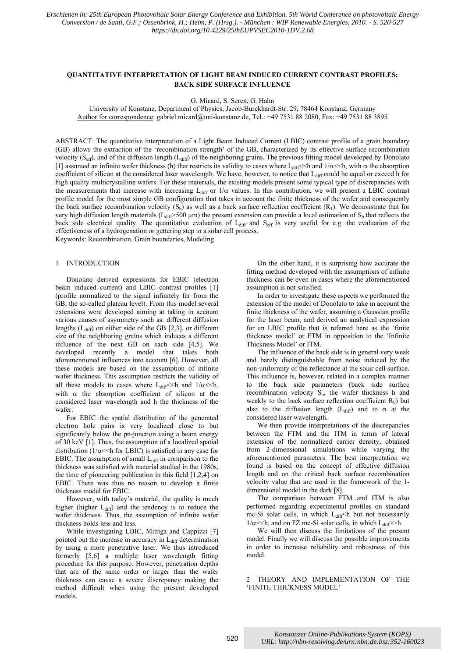# **QUANTITATIVE INTERPRETATION OF LIGHT BEAM INDUCED CURRENT CONTRAST PROFILES: BACK SIDE SURFACE INFLUENCE**

G. Micard, S. Seren, G. Hahn

University of Konstanz, Department of Physics, Jacob-Burckhardt-Str. 29, 78464 Konstanz, Germany Author for correspondence: gabriel.micard@uni-konstanz.de, Tel.: +49 7531 88 2080, Fax: +49 7531 88 3895

ABSTRACT: The quantitative interpretation of a Light Beam Induced Current (LBIC) contrast profile of a grain boundary (GB) allows the extraction of the 'recombination strength' of the GB, characterized by its effective surface recombination velocity ( $S_{\text{eff}}$ ), and of the diffusion length ( $L_{\text{diff}}$ ) of the neighboring grains. The previous fitting model developed by Donolato [1] assumed an infinite wafer thickness (h) that restricts its validity to cases where  $L_{diff} \ll h$  and  $1/\alpha \ll h$ , with  $\alpha$  the absorption coefficient of silicon at the considered laser wavelength. We have, however, to notice that  $L_{diff}$  could be equal or exceed h for high quality multicrystalline wafers. For these materials, the existing models present some typical type of discrepancies with the measurements that increase with increasing  $L_{diff}$  or  $1/\alpha$  values. In this contribution, we will present a LBIC contrast profile model for the most simple GB configuration that takes in account the finite thickness of the wafer and consequently the back surface recombination velocity  $(S_b)$  as well as a back surface reflection coefficient  $(R_1)$ . We demonstrate that for very high diffusion length materials ( $L_{diff}$ >500 µm) the present extension can provide a local estimation of  $S_b$  that reflects the back side electrical quality. The quantitative evaluation of  $L_{diff}$  and  $S_{eff}$  is very useful for e.g. the evaluation of the effectiveness of a hydrogenation or gettering step in a solar cell process.

Keywords: Recombination, Grain boundaries, Modeling

## 1 INTRODUCTION

Donolato derived expressions for EBIC (electron beam induced current) and LBIC contrast profiles [1] (profile normalized to the signal infinitely far from the GB, the so-called plateau level). From this model several extensions were developed aiming at taking in account various causes of asymmetry such as: different diffusion lengths  $(L_{diff})$  on either side of the GB [2,3], or different size of the neighboring grains which induces a different influence of the next GB on each side [4,5]. We developed recently a model that takes both aforementioned influences into account [6]. However, all these models are based on the assumption of infinite wafer thickness. This assumption restricts the validity of all these models to cases where  $L_{diff} \ll h$  and  $1/\alpha \ll h$ , with  $\alpha$  the absorption coefficient of silicon at the considered laser wavelength and h the thickness of the wafer.

For EBIC the spatial distribution of the generated electron hole pairs is very localized close to but significantly below the pn-junction using a beam energy of 30 keV [1]. Thus, the assumption of a localized spatial distribution ( $1/\alpha$  << h for LBIC) is satisfied in any case for EBIC. The assumption of small  $L_{diff}$  in comparison to the thickness was satisfied with material studied in the 1980s, the time of pioneering publication in this field [1,2,4] on EBIC. There was thus no reason to develop a finite thickness model for EBIC.

However, with today's material, the quality is much higher (higher  $L_{diff}$ ) and the tendency is to reduce the wafer thickness. Thus, the assumption of infinite wafer thickness holds less and less.

While investigating LBIC, Mittiga and Cappizzi [7] pointed out the increase in accuracy in  $L_{diff}$  determination by using a more penetrative laser. We thus introduced formerly [5,6] a multiple laser wavelength fitting procedure for this purpose. However, penetration depths that are of the same order or larger than the wafer thickness can cause a severe discrepancy making the method difficult when using the present developed models.

On the other hand, it is surprising how accurate the fitting method developed with the assumptions of infinite thickness can be even in cases where the aforementioned assumption is not satisfied.

In order to investigate these aspects we performed the extension of the model of Donolato to take in account the finite thickness of the wafer, assuming a Gaussian profile for the laser beam, and derived an analytical expression for an LBIC profile that is referred here as the 'finite thickness model' or FTM in opposition to the 'Infinite Thickness Model' or ITM.

The influence of the back side is in general very weak and barely distinguishable from noise induced by the non-uniformity of the reflectance at the solar cell surface. This influence is, however, related in a complex manner to the back side parameters (back side surface recombination velocity  $S_b$ , the wafer thickness h and weakly to the back surface reflection coefficient  $R_b$ ) but also to the diffusion length ( $L_{diff}$ ) and to  $\alpha$  at the considered laser wavelength.

We then provide interpretations of the discrepancies between the FTM and the ITM in terms of lateral extension of the normalized carrier density, obtained from 2-dimensional simulations while varying the aforementioned parameters. The best interpretation we found is based on the concept of effective diffusion length and on the critical back surface recombination velocity value that are used in the framework of the 1 dimensional model in the dark [8].

The comparison between FTM and ITM is also performed regarding experimental profiles on standard mc-Si solar cells, in which  $L_{diff}$  h but not necessarily  $1/\alpha$  << h, and on FZ mc-Si solar cells, in which  $L_{diff}$  >>h.

We will then discuss the limitations of the present model. Finally we will discuss the possible improvements in order to increase reliability and robustness of this model.

2 THEORY AND IMPLEMENTATION OF THE 'FINITE THICKNESS MODEL'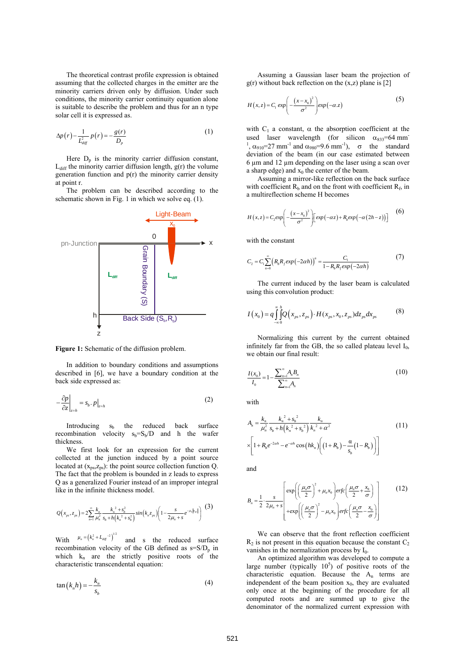The theoretical contrast profile expression is obtained assuming that the collected charges in the emitter are the minority carriers driven only by diffusion. Under such conditions, the minority carrier continuity equation alone is suitable to describe the problem and thus for an n type solar cell it is expressed as.

$$
\Delta p(r) - \frac{1}{L_{\text{diff}}^2} p(r) = -\frac{g(r)}{D_p} \tag{1}
$$

Here  $D_n$  is the minority carrier diffusion constant,  $L_{diff}$  the minority carrier diffusion length,  $g(r)$  the volume generation function and  $p(r)$  the minority carrier density at point r.

The problem can be described according to the schematic shown in Fig. 1 in which we solve eq. (1).



**Figure 1:** Schematic of the diffusion problem.

In addition to boundary conditions and assumptions described in [6], we have a boundary condition at the back side expressed as:

$$
-\frac{\partial p}{\partial z}\bigg|_{z=h} = s_b \cdot p\big|_{z=h} \tag{2}
$$

Introducing  $s<sub>b</sub>$  the reduced back surface recombination velocity  $s_b = S_b/D$  and h the wafer thickness.

We first look for an expression for the current collected at the junction induced by a point source located at  $(x_{\text{ns}}, z_{\text{ns}})$ : the point source collection function Q. The fact that the problem is bounded in z leads to express Q as a generalized Fourier instead of an improper integral like in the infinite thickness model.

$$
Q(x_{ps}, z_{ps}) = 2 \sum_{n=1}^{\infty} \frac{k_n}{\mu_n^2} \frac{k_n^2 + s_b^2}{s_b + h(k_n^2 + s_b^2)} sin(k_n z_{ps}) \left(1 - \frac{s}{2\mu_n + s} e^{-\mu_n |x_{ps}|}\right)
$$
(3)

With  $\mu_n = (k_n^2 + L_{diff}^{-2})^{1/2}$  and s the reduced surface recombination velocity of the GB defined as  $s = S/D_p$  in which  $k_n$  are the strictly positive roots of the characteristic transcendental equation:

$$
\tan\left(k_n h\right) = -\frac{k_n}{s_b} \tag{4}
$$

Assuming a Gaussian laser beam the projection of  $g(r)$  without back reflection on the  $(x,z)$  plane is [2]

$$
H(x,z) = C_1 \exp\left(-\frac{(x-x_0)^2}{\sigma^2}\right) \exp(-\alpha.z)
$$
 (5)

with  $C_1$  a constant,  $\alpha$  the absorption coefficient at the used laser wavelength (for silicon  $\alpha_{833}$ =64 mm <sup>1</sup>,  $\alpha_{910}$ =27 mm<sup>-1</sup> and  $\alpha_{980}$ =9.6 mm<sup>-1</sup>),  $\sigma$  the standard deviation of the beam (in our case estimated between 6 µm and 12 µm depending on the laser using a scan over a sharp edge) and  $x_0$  the center of the beam.

Assuming a mirror-like reflection on the back surface with coefficient  $R_b$  and on the front with coefficient  $R_f$ , in a multireflection scheme H becomes

$$
H(x,z) = C_2 exp\left(-\frac{(x-x_0)^2}{\sigma^2}\right) \left[ exp(-\alpha z) + R_b exp(-\alpha (2h-z))\right]
$$
 (6)

with the constant

$$
C_2 = C_1 \sum_{n=0}^{\infty} \left( R_b R_f \exp(-2\alpha h) \right)^n = \frac{C_1}{1 - R_b R_f \exp(-2\alpha h)} \tag{7}
$$

The current induced by the laser beam is calculated using this convolution product:

$$
I(x_0) = q \int_{-\infty}^{\infty} \int_{0}^{h} Q(x_{ps}, z_{ps}) \cdot H(x_{ps}, x_0, z_{ps}) dz_{ps} dx_{ps}
$$
 (8)

Normalizing this current by the current obtained infinitely far from the GB, the so called plateau level  $I_0$ , we obtain our final result:

$$
\frac{I(x_0)}{I_0} = 1 - \frac{\sum_{n=1}^{\infty} A_n B_n}{\sum_{n=1}^{\infty} A_n}
$$
\n(10)

with

$$
A_n = \frac{k_n}{\mu_n^2} \frac{k_n^2 + s_b^2}{s_b + h(k_n^2 + s_b^2)} \frac{k_n}{k_n^2 + \alpha^2}
$$
  
\n
$$
\times \left[1 + R_b e^{-2\alpha h} - e^{-\alpha h} \cos\left(hk_n\right) \left(\left(1 + R_b\right) - \frac{\alpha}{s_b} \left(1 - R_b\right)\right)\right]
$$
\n(11)

and

$$
B_n = \frac{1}{2} \cdot \frac{s}{2\mu_n + s} \left[ \exp\left( \left( \frac{\mu_n \sigma}{2} \right)^2 + \mu_n x_0 \right) \text{erfc} \left( \frac{\mu_n \sigma}{2} + \frac{x_0}{\sigma} \right) \right] + \exp\left( \left( \frac{\mu_n \sigma}{2} \right)^2 - \mu_n x_0 \right) \text{erfc} \left( \frac{\mu_n \sigma}{2} - \frac{x_0}{\sigma} \right) \right]
$$
(12)

We can observe that the front reflection coefficient  $R_2$  is not present in this equation because the constant  $C_2$ vanishes in the normalization process by  $I_0$ .

An optimized algorithm was developed to compute a large number (typically  $10<sup>5</sup>$ ) of positive roots of the characteristic equation. Because the  $A_n$  terms are independent of the beam position  $x_0$ , they are evaluated only once at the beginning of the procedure for all computed roots and are summed up to give the denominator of the normalized current expression with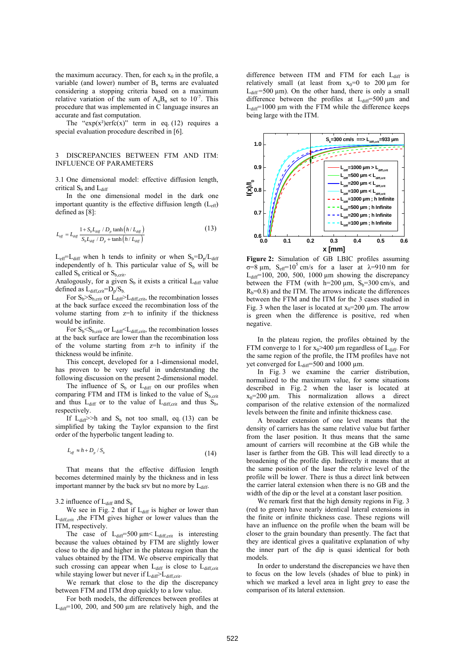the maximum accuracy. Then, for each  $x_0$  in the profile, a variable (and lower) number of  $B_n$  terms are evaluated considering a stopping criteria based on a maximum relative variation of the sum of  $A_nB_n$  set to  $10^{-7}$ . This procedure that was implemented in C language insures an accurate and fast computation.

The "exp(x<sup>2</sup>)erfc(x)" term in eq. (12) requires a special evaluation procedure described in [6].

#### 3 DISCREPANCIES BETWEEN FTM AND ITM: INFLUENCE OF PARAMETERS

3.1 One dimensional model: effective diffusion length, critical  $S_b$  and  $L_{diff}$ 

In the one dimensional model in the dark one important quantity is the effective diffusion length  $(L_{\text{eff}})$ defined as [8]:

$$
L_{\text{eff}} = L_{\text{diff}} \frac{1 + S_b L_{\text{diff}} / D_p \tanh\left(h / L_{\text{diff}}\right)}{S_b L_{\text{diff}} / D_p + \tanh\left(h / L_{\text{diff}}\right)}
$$
(13)

 $L_{eff} = L_{diff}$  when h tends to infinity or when  $S_b = D_p/L_{diff}$ independently of h. This particular value of  $S<sub>b</sub>$  will be called  $S_b$  critical or  $S_{b, crit}$ .

Analogously, for a given  $S_b$  it exists a critical  $L_{diff}$  value defined as  $L_{diff,crit} = D_p/S_b$ .

For  $S_b > S_b$ <sub>crit</sub> or  $\dot{L}_{diff} > L_{diff,crit}$ , the recombination losses at the back surface exceed the recombination loss of the volume starting from z=h to infinity if the thickness would be infinite.

For  $S_b < S_{b,crit}$  or  $L_{diff} < L_{diff,crit}$ , the recombination losses at the back surface are lower than the recombination loss of the volume starting from z=h to infinity if the thickness would be infinite.

This concept, developed for a 1-dimensional model, has proven to be very useful in understanding the following discussion on the present 2-dimensional model.

The influence of  $S_b$  or  $L_{diff}$  on our profiles when comparing FTM and ITM is linked to the value of  $S_{b,crit}$ and thus  $L_{diff}$  or to the value of  $L_{diff,crit}$  and thus  $S_b$ , respectively.

If  $L_{diff}$  >>h and  $S_b$  not too small, eq. (13) can be simplified by taking the Taylor expansion to the first order of the hyperbolic tangent leading to.

$$
L_{\text{eff}} \approx h + D_p / S_b \tag{14}
$$

That means that the effective diffusion length becomes determined mainly by the thickness and in less important manner by the back srv but no more by  $L_{diff}$ .

3.2 influence of  $L_{diff}$  and  $S_b$ 

We see in Fig. 2 that if  $L_{diff}$  is higher or lower than L<sub>diff,crit</sub>, the FTM gives higher or lower values than the ITM, respectively.

The case of  $L_{diff}=500 \mu m < L_{diff,crit}$  is interesting because the values obtained by FTM are slightly lower close to the dip and higher in the plateau region than the values obtained by the ITM. We observe empirically that such crossing can appear when  $L_{diff}$  is close to  $L_{diff,crit}$ while staying lower but never if  $L_{diff} > L_{diff,crit}$ .

We remark that close to the dip the discrepancy between FTM and ITM drop quickly to a low value.

For both models, the differences between profiles at  $L_{diff}$ =100, 200, and 500  $\mu$ m are relatively high, and the difference between ITM and FTM for each  $L_{diff}$  is relatively small (at least from  $x_0=0$  to 200  $\mu$ m for  $L_{diff} = 500 \mu m$ ). On the other hand, there is only a small difference between the profiles at  $L_{diff}=500 \mu m$  and  $L_{diff}=1000 \mu m$  with the FTM while the difference keeps being large with the ITM.



**Figure 2:** Simulation of GB LBIC profiles assuming  $\sigma=8 \mu m$ , S<sub>eff</sub>=10<sup>5</sup> cm/s for a laser at λ=910 nm for  $L_{diff}$ =100, 200, 500, 1000 µm showing the discrepancy between the FTM (with h=200  $\mu$ m,  $S_b$ =300 cm/s, and  $R_b=0.8$ ) and the ITM. The arrows indicate the differences between the FTM and the ITM for the 3 cases studied in Fig. 3 when the laser is located at  $x_0=200 \mu m$ . The arrow is green when the difference is positive, red when negative.

In the plateau region, the profiles obtained by the FTM converge to 1 for  $x_0$ >400 µm regardless of L<sub>diff</sub>. For the same region of the profile, the ITM profiles have not yet converged for  $L_{diff} = 500$  and 1000  $\mu$ m.

In Fig. 3 we examine the carrier distribution, normalized to the maximum value, for some situations described in Fig. 2 when the laser is located at  $x_0$ =200  $\mu$ m. This normalization allows a direct comparison of the relative extension of the normalized levels between the finite and infinite thickness case.

A broader extension of one level means that the density of carriers has the same relative value but farther from the laser position. It thus means that the same amount of carriers will recombine at the GB while the laser is farther from the GB. This will lead directly to a broadening of the profile dip. Indirectly it means that at the same position of the laser the relative level of the profile will be lower. There is thus a direct link between the carrier lateral extension when there is no GB and the width of the dip or the level at a constant laser position.

We remark first that the high density regions in Fig. 3 (red to green) have nearly identical lateral extensions in the finite or infinite thickness case. These regions will have an influence on the profile when the beam will be closer to the grain boundary than presently. The fact that they are identical gives a qualitative explanation of why the inner part of the dip is quasi identical for both models.

In order to understand the discrepancies we have then to focus on the low levels (shades of blue to pink) in which we marked a level area in light grey to ease the comparison of its lateral extension.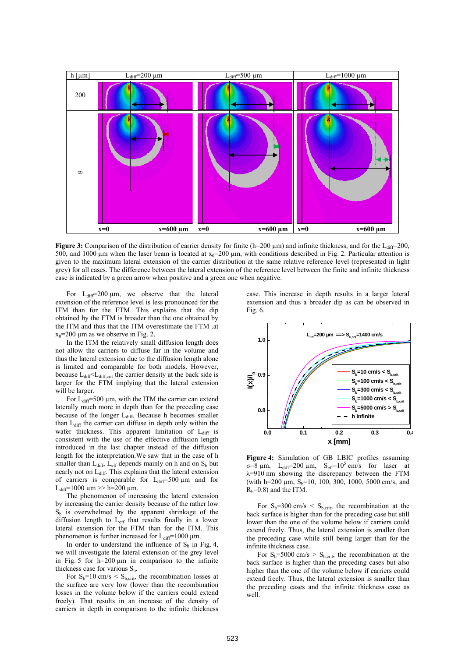

**Figure 3:** Comparison of the distribution of carrier density for finite (h=200  $\mu$ m) and infinite thickness, and for the L<sub>diff</sub>=200, 500, and 1000 µm when the laser beam is located at  $x_0$ =200 µm, with conditions described in Fig. 2. Particular attention is given to the maximum lateral extension of the carrier distribution at the same relative reference level (represented in light grey) for all cases. The difference between the lateral extension of the reference level between the finite and infinite thickness case is indicated by a green arrow when positive and a green one when negative.

For  $L_{diff}$ =200  $\mu$ m, we observe that the lateral extension of the reference level is less pronounced for the ITM than for the FTM. This explains that the dip obtained by the FTM is broader than the one obtained by the ITM and thus that the ITM overestimate the FTM .at  $x_0$ =200 µm as we observe in Fig. 2.

In the ITM the relatively small diffusion length does not allow the carriers to diffuse far in the volume and thus the lateral extension due to the diffusion length alone is limited and comparable for both models. However, because  $L_{diff} < L_{diff,crit}$  the carrier density at the back side is larger for the FTM implying that the lateral extension will be larger.

For  $L_{diff}$ =500  $\mu$ m, with the ITM the carrier can extend laterally much more in depth than for the preceding case because of the longer  $L_{diff}$ . Because h becomes smaller than  $L_{\text{diff}}$  the carrier can diffuse in depth only within the wafer thickness. This apparent limitation of  $L_{diff}$  is consistent with the use of the effective diffusion length introduced in the last chapter instead of the diffusion length for the interpretation.We saw that in the case of h smaller than  $L_{diff}$ ,  $L_{eff}$  depends mainly on h and on  $S_b$  but nearly not on L<sub>diff</sub>. This explains that the lateral extension of carriers is comparable for  $L_{diff}$ =500  $\mu$ m and for  $L_{diff}$ =1000 µm >> h=200 µm.

The phenomenon of increasing the lateral extension by increasing the carrier density because of the rather low  $S<sub>b</sub>$  is overwhelmed by the apparent shrinkage of the diffusion length to Leff that results finally in a lower lateral extension for the FTM than for the ITM. This phenomenon is further increased for  $L_{diff}$ =1000  $\mu$ m.

In order to understand the influence of  $S_b$  in Fig. 4, we will investigate the lateral extension of the grey level in Fig. 5 for h=200 µm in comparison to the infinite thickness case for various  $S_b$ .

For  $S_b=10$  cm/s <  $S_{b,crit}$ , the recombination losses at the surface are very low (lower than the recombination losses in the volume below if the carriers could extend freely). That results in an increase of the density of carriers in depth in comparison to the infinite thickness

case. This increase in depth results in a larger lateral extension and thus a broader dip as can be observed in Fig. 6.



**Figure 4:** Simulation of GB LBIC profiles assuming  $\sigma=8 \mu m$ , L<sub>diff</sub>=200 μm, S<sub>eff</sub>=10<sup>5</sup> cm/s for laser at λ=910 nm showing the discrepancy between the FTM (with h=200  $\mu$ m, S<sub>b</sub>=10, 100, 300, 1000, 5000 cm/s, and  $R_b=0.8$ ) and the ITM.

For  $S_b$ =300 cm/s <  $S_{b, crit}$ , the recombination at the back surface is higher than for the preceding case but still lower than the one of the volume below if carriers could extend freely. Thus, the lateral extension is smaller than the preceding case while still being larger than for the infinite thickness case.

For  $S_b$ =5000 cm/s >  $S_{b, crit}$ , the recombination at the back surface is higher than the preceding cases but also higher than the one of the volume below if carriers could extend freely. Thus, the lateral extension is smaller than the preceding cases and the infinite thickness case as well.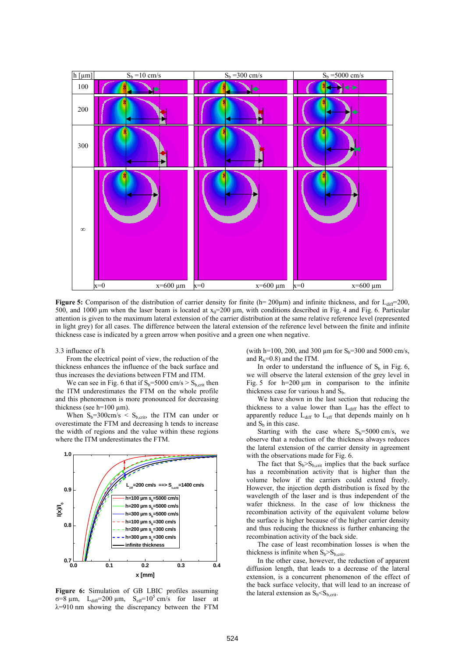

**Figure 5:** Comparison of the distribution of carrier density for finite ( $h=200\mu m$ ) and infinite thickness, and for  $L_{diff}=200$ , 500, and 1000 µm when the laser beam is located at  $x_0=200$  µm, with conditions described in Fig. 4 and Fig. 6. Particular attention is given to the maximum lateral extension of the carrier distribution at the same relative reference level (represented in light grey) for all cases. The difference between the lateral extension of the reference level between the finite and infinite thickness case is indicated by a green arrow when positive and a green one when negative.

#### 3.3 influence of h

From the electrical point of view, the reduction of the thickness enhances the influence of the back surface and thus increases the deviations between FTM and ITM.

We can see in Fig. 6 that if  $S_b$ =5000 cm/s >  $S_{b, crit}$  then the ITM underestimates the FTM on the whole profile and this phenomenon is more pronounced for decreasing thickness (see h=100  $\mu$ m).

When  $S_b = 300 \text{cm/s} < S_{b\text{ crit}}$ , the ITM can under or overestimate the FTM and decreasing h tends to increase the width of regions and the value within these regions where the ITM underestimates the FTM.



**Figure 6:** Simulation of GB LBIC profiles assuming  $\sigma=8 \mu m$ , L<sub>diff</sub>=200 μm, S<sub>eff</sub>=10<sup>5</sup> cm/s for laser at  $\lambda$ =910 nm showing the discrepancy between the FTM

(with h=100, 200, and 300 um for  $S_b$ =300 and 5000 cm/s, and  $R_b=0.8$ ) and the ITM.

In order to understand the influence of  $S<sub>b</sub>$  in Fig. 6, we will observe the lateral extension of the grey level in Fig. 5 for  $h=200 \mu m$  in comparison to the infinite thickness case for various h and  $S_b$ .

We have shown in the last section that reducing the thickness to a value lower than L<sub>diff</sub> has the effect to apparently reduce  $L_{diff}$  to  $L_{eff}$  that depends mainly on h and  $S<sub>b</sub>$  in this case.

Starting with the case where  $S_b = 5000$  cm/s, we observe that a reduction of the thickness always reduces the lateral extension of the carrier density in agreement with the observations made for Fig. 6.

The fact that  $S_b > S_{b, crit}$  implies that the back surface has a recombination activity that is higher than the volume below if the carriers could extend freely. However, the injection depth distribution is fixed by the wavelength of the laser and is thus independent of the wafer thickness. In the case of low thickness the recombination activity of the equivalent volume below the surface is higher because of the higher carrier density and thus reducing the thickness is further enhancing the recombination activity of the back side.

The case of least recombination losses is when the thickness is infinite when  $S_b>S_{b,crit}$ .

In the other case, however, the reduction of apparent diffusion length, that leads to a decrease of the lateral extension, is a concurrent phenomenon of the effect of the back surface velocity, that will lead to an increase of the lateral extension as  $S_b < S_{b\text{.crit}}$ .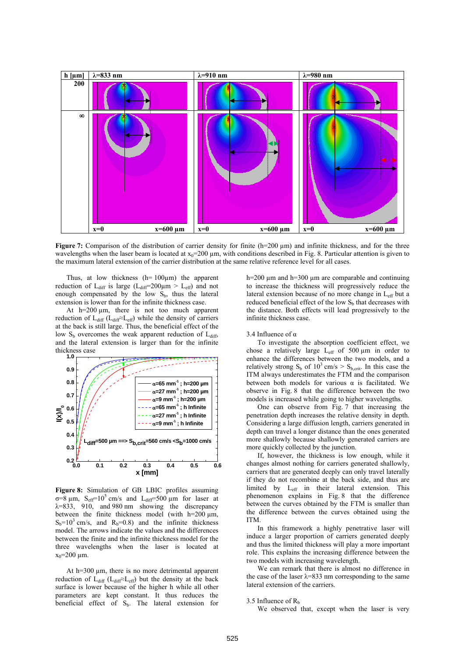

**Figure 7:** Comparison of the distribution of carrier density for finite (h=200 µm) and infinite thickness, and for the three wavelengths when the laser beam is located at  $x_0$ =200  $\mu$ m, with conditions described in Fig. 8. Particular attention is given to the maximum lateral extension of the carrier distribution at the same relative reference level for all cases.

Thus, at low thickness  $(h=100\mu m)$  the apparent reduction of L<sub>diff</sub> is large (L<sub>diff</sub>=200 $\mu$ m > L<sub>eff</sub>) and not enough compensated by the low  $S_b$ , thus the lateral extension is lower than for the infinite thickness case.

At h=200  $\mu$ m, there is not too much apparent reduction of  $L_{diff}$  ( $L_{diff} \approx L_{eff}$ ) while the density of carriers at the back is still large. Thus, the beneficial effect of the low  $S_b$  overcomes the weak apparent reduction of  $L_{diff}$ , and the lateral extension is larger than for the infinite thickness case



**Figure 8:** Simulation of GB LBIC profiles assuming  $\sigma=8 \mu m$ , S<sub>eff</sub>=10<sup>5</sup> cm/s and L<sub>diff</sub>=500 μm for laser at  $\lambda = 833$ , 910, and 980 nm showing the discrepancy between the finite thickness model (with  $h=200 \mu m$ ,  $S_b=10^3$  cm/s, and  $R_b=0.8$ ) and the infinite thickness model. The arrows indicate the values and the differences between the finite and the infinite thickness model for the three wavelengths when the laser is located at  $x_0 = 200$  um.

At  $h=300 \mu m$ , there is no more detrimental apparent reduction of  $L_{diff}$  ( $L_{diff} \approx L_{eff}$ ) but the density at the back surface is lower because of the higher h while all other parameters are kept constant. It thus reduces the beneficial effect of  $S_b$ . The lateral extension for

h=200  $\mu$ m and h=300  $\mu$ m are comparable and continuing to increase the thickness will progressively reduce the lateral extension because of no more change in Leff but a reduced beneficial effect of the low  $S<sub>b</sub>$  that decreases with the distance. Both effects will lead progressively to the infinite thickness case.

#### 3.4 Influence of α

To investigate the absorption coefficient effect, we chose a relatively large  $L_{\text{eff}}$  of 500  $\mu$ m in order to enhance the differences between the two models, and a relatively strong  $S_b$  of  $10^3$  cm/s >  $S_{b,\text{crit}}$ . In this case the ITM always underestimates the FTM and the comparison between both models for various  $\alpha$  is facilitated. We observe in Fig. 8 that the difference between the two models is increased while going to higher wavelengths.

One can observe from Fig. 7 that increasing the penetration depth increases the relative density in depth. Considering a large diffusion length, carriers generated in depth can travel a longer distance than the ones generated more shallowly because shallowly generated carriers are more quickly collected by the junction.

If, however, the thickness is low enough, while it changes almost nothing for carriers generated shallowly, carriers that are generated deeply can only travel laterally if they do not recombine at the back side, and thus are limited by Leff in their lateral extension. This phenomenon explains in Fig. 8 that the difference between the curves obtained by the FTM is smaller than the difference between the curves obtained using the ITM.

In this framework a highly penetrative laser will induce a larger proportion of carriers generated deeply and thus the limited thickness will play a more important role. This explains the increasing difference between the two models with increasing wavelength.

We can remark that there is almost no difference in the case of the laser  $\lambda$ =833 nm corresponding to the same lateral extension of the carriers.

#### 3.5 Influence of  $R<sub>b</sub>$

We observed that, except when the laser is very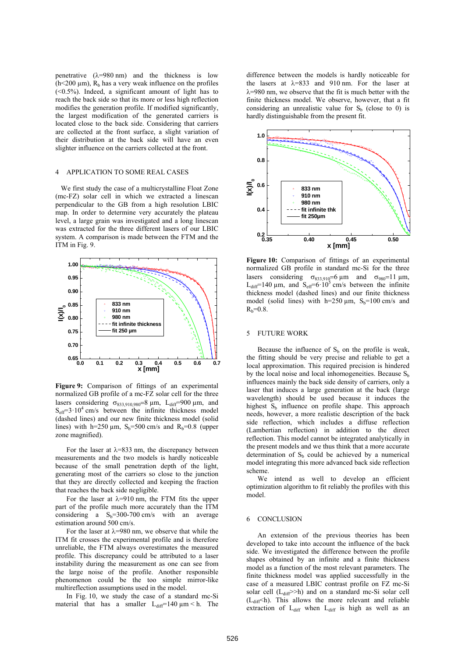penetrative  $(\lambda=980 \text{ nm})$  and the thickness is low  $(h<200 \mu m)$ , R<sub>b</sub> has a very weak influence on the profiles  $(<0.5\%)$ . Indeed, a significant amount of light has to reach the back side so that its more or less high reflection modifies the generation profile. If modified significantly, the largest modification of the generated carriers is located close to the back side. Considering that carriers are collected at the front surface, a slight variation of their distribution at the back side will have an even slighter influence on the carriers collected at the front.

#### 4 APPLICATION TO SOME REAL CASES

We first study the case of a multicrystalline Float Zone (mc-FZ) solar cell in which we extracted a linescan perpendicular to the GB from a high resolution LBIC map. In order to determine very accurately the plateau level, a large grain was investigated and a long linescan was extracted for the three different lasers of our LBIC system. A comparison is made between the FTM and the ITM in Fig. 9.



**Figure 9:** Comparison of fittings of an experimental normalized GB profile of a mc-FZ solar cell for the three lasers considering  $\sigma_{833.910.980} = 8 \mu m$ , L<sub>diff</sub>=900  $\mu$ m, and  $S<sub>eff</sub>=3.10<sup>4</sup>$  cm/s between the infinite thickness model (dashed lines) and our new finite thickness model (solid lines) with h=250  $\mu$ m, S<sub>b</sub>=500 cm/s and R<sub>b</sub>=0.8 (upper zone magnified).

For the laser at  $\lambda$ =833 nm, the discrepancy between measurements and the two models is hardly noticeable because of the small penetration depth of the light, generating most of the carriers so close to the junction that they are directly collected and keeping the fraction that reaches the back side negligible.

For the laser at  $\lambda$ =910 nm, the FTM fits the upper part of the profile much more accurately than the ITM considering a  $S_b=300-700$  cm/s with an average estimation around 500 cm/s.

For the laser at  $\lambda$ =980 nm, we observe that while the ITM fit crosses the experimental profile and is therefore unreliable, the FTM always overestimates the measured profile. This discrepancy could be attributed to a laser instability during the measurement as one can see from the large noise of the profile. Another responsible phenomenon could be the too simple mirror-like multireflection assumptions used in the model.

In Fig. 10, we study the case of a standard mc-Si material that has a smaller  $L_{diff}$ =140  $\mu$ m < h. The difference between the models is hardly noticeable for the lasers at  $\lambda$ =833 and 910 nm. For the laser at  $\lambda$ =980 nm, we observe that the fit is much better with the finite thickness model. We observe, however, that a fit considering an unrealistic value for  $S_b$  (close to 0) is hardly distinguishable from the present fit.



**Figure 10:** Comparison of fittings of an experimental normalized GB profile in standard mc-Si for the three lasers considering  $\sigma_{833,910} = 6 \text{ }\mu\text{m}$  and  $\sigma_{980} = 11 \text{ }\mu\text{m}$ , L<sub>diff</sub>=140 µm, and  $S_{\text{eff}}$ =6.10<sup>5</sup> cm/s between the infinite thickness model (dashed lines) and our finite thickness model (solid lines) with  $h=250 \mu m$ ,  $S_b=100 \text{ cm/s}$  and  $R_b = 0.8$ .

### 5 FUTURE WORK

Because the influence of  $S_b$  on the profile is weak, the fitting should be very precise and reliable to get a local approximation. This required precision is hindered by the local noise and local inhomogeneities. Because  $S<sub>b</sub>$ influences mainly the back side density of carriers, only a laser that induces a large generation at the back (large wavelength) should be used because it induces the highest  $S_b$  influence on profile shape. This approach needs, however, a more realistic description of the back side reflection, which includes a diffuse reflection (Lambertian reflection) in addition to the direct reflection. This model cannot be integrated analytically in the present models and we thus think that a more accurate determination of  $S_b$  could be achieved by a numerical model integrating this more advanced back side reflection scheme.

We intend as well to develop an efficient optimization algorithm to fit reliably the profiles with this model.

### 6 CONCLUSION

An extension of the previous theories has been developed to take into account the influence of the back side. We investigated the difference between the profile shapes obtained by an infinite and a finite thickness model as a function of the most relevant parameters. The finite thickness model was applied successfully in the case of a measured LBIC contrast profile on FZ mc-Si solar cell  $(L_{diff}>>h)$  and on a standard mc-Si solar cell  $(L_{diff}$  h). This allows the more relevant and reliable extraction of  $L_{diff}$  when  $L_{diff}$  is high as well as an